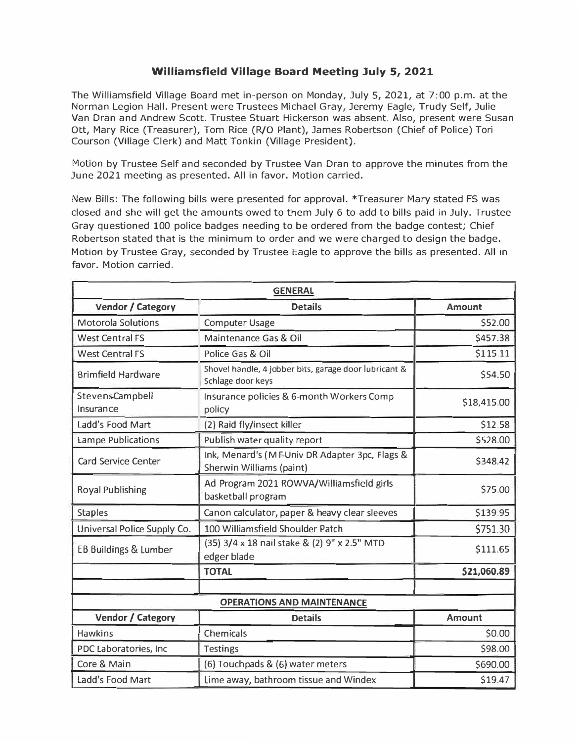## **Williamsfield Village Board Meeting July 5, 2021**

The Williamsfield Village Board met in-person on Monday, July 5, 2021, at 7:00 p.m. at the Norman Legion Hall. Present were Trustees Michael Gray, Jeremy Eagle, Trudy Self, Julie Van Dran and Andrew Scott. Trustee Stuart Hickerson was absent. Also, present were Susan Ott, Mary Rice (Treasurer), Tom Rice (R/O Plant), James Robertson (Chief of Police) Tori Courson (Village Clerk) and Matt Tonkin (Village President).

Motion by Trustee Self and seconded by Trustee Van Dran to approve the minutes from the June 2021 meeting as presented. All in favor. Motion carried.

New Bills: The following bills were presented for approval. \*Treasurer Mary stated FS was closed and she will get the amounts owed to them July 6 to add to bills paid in July. Trustee Gray questioned 100 police badges needing to be ordered from the badge contest; Chief Robertson stated that is the minimum to order and we were charged to design the badge. Motion by Trustee Gray, seconded by Trustee Eagle to approve the bills as presented. All in favor. Motion carried.

| <b>GENERAL</b>                    |                                                                            |               |  |  |
|-----------------------------------|----------------------------------------------------------------------------|---------------|--|--|
| Vendor / Category                 | <b>Details</b>                                                             | <b>Amount</b> |  |  |
| <b>Motorola Solutions</b>         | <b>Computer Usage</b>                                                      | \$52.00       |  |  |
| <b>West Central FS</b>            | Maintenance Gas & Oil                                                      | \$457.38      |  |  |
| <b>West Central FS</b>            | Police Gas & Oil                                                           | \$115.11      |  |  |
| <b>Brimfield Hardware</b>         | Shovel handle, 4 jobber bits, garage door lubricant &<br>Schlage door keys | \$54.50       |  |  |
| StevensCampbell<br>Insurance      | Insurance policies & 6-month Workers Comp<br>policy                        | \$18,415.00   |  |  |
| Ladd's Food Mart                  | (2) Raid fly/insect killer                                                 | \$12.58       |  |  |
| <b>Lampe Publications</b>         | Publish water quality report                                               | \$528.00      |  |  |
| Card Service Center               | Ink, Menard's (MEUniv DR Adapter 3pc, Flags &<br>Sherwin Williams (paint)  | \$348.42      |  |  |
| Royal Publishing                  | Ad-Program 2021 ROWVA/Williamsfield girls<br>basketball program            | \$75.00       |  |  |
| <b>Staples</b>                    | Canon calculator, paper & heavy clear sleeves                              | \$139.95      |  |  |
| Universal Police Supply Co.       | 100 Williamsfield Shoulder Patch                                           | \$751.30      |  |  |
| <b>EB Buildings &amp; Lumber</b>  | (35) 3/4 x 18 nail stake & (2) 9" x 2.5" MTD<br>edger blade                | \$111.65      |  |  |
|                                   | <b>TOTAL</b>                                                               | \$21,060.89   |  |  |
|                                   |                                                                            |               |  |  |
| <b>OPERATIONS AND MAINTENANCE</b> |                                                                            |               |  |  |
| Vendor / Category                 | <b>Details</b>                                                             | Amount        |  |  |
| <b>Hawkins</b>                    | Chemicals                                                                  | \$0.00        |  |  |
| PDC Laboratories, Inc             | <b>Testings</b>                                                            | \$98.00       |  |  |
| Core & Main                       | (6) Touchpads & (6) water meters                                           | \$690.00      |  |  |
| Ladd's Food Mart                  | Lime away, bathroom tissue and Windex                                      | \$19.47       |  |  |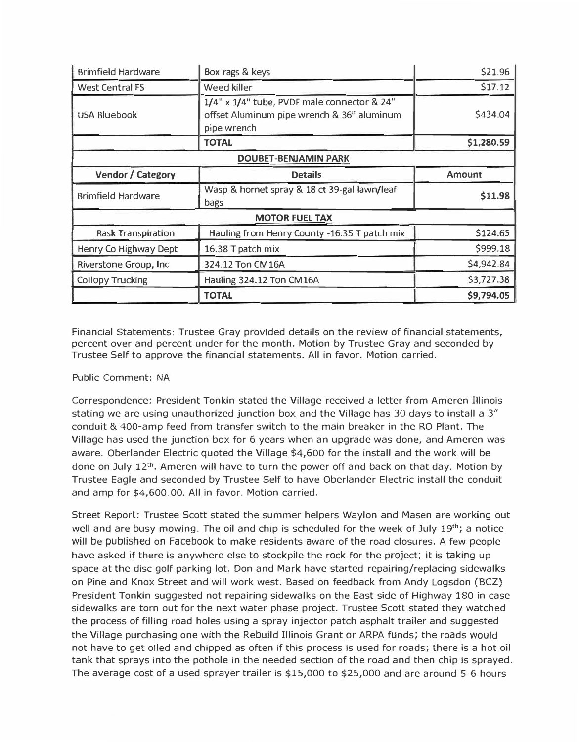| <b>Brimfield Hardware</b>   | Box rags & keys                                                                                          | \$21.96       |  |  |
|-----------------------------|----------------------------------------------------------------------------------------------------------|---------------|--|--|
| West Central FS             | Weed killer                                                                                              | \$17.12       |  |  |
| USA Bluebook                | 1/4" x 1/4" tube, PVDF male connector & 24"<br>offset Aluminum pipe wrench & 36" aluminum<br>pipe wrench | \$434.04      |  |  |
|                             | <b>TOTAL</b>                                                                                             | \$1,280.59    |  |  |
| <b>DOUBET-BENJAMIN PARK</b> |                                                                                                          |               |  |  |
| Vendor / Category           | <b>Details</b>                                                                                           | <b>Amount</b> |  |  |
| <b>Brimfield Hardware</b>   | Wasp & hornet spray & 18 ct 39-gal lawn/leaf<br>bags                                                     | \$11.98       |  |  |
| <b>MOTOR FUEL TAX</b>       |                                                                                                          |               |  |  |
| <b>Rask Transpiration</b>   | Hauling from Henry County -16.35 T patch mix                                                             | \$124.65      |  |  |
| Henry Co Highway Dept       | 16.38 T patch mix                                                                                        | \$999.18      |  |  |
| Riverstone Group, Inc.      | 324.12 Ton CM16A                                                                                         | \$4,942.84    |  |  |
| <b>Collopy Trucking</b>     | Hauling 324.12 Ton CM16A                                                                                 | \$3,727.38    |  |  |
|                             |                                                                                                          |               |  |  |

Financial Statements: Trustee Gray provided details on the review of financial statements, percent over and percent under for the month. Motion by Trustee Gray and seconded by Trustee Self to approve the financial statements. All in favor. Motion carried.

## Public Comment: NA

Correspondence: President Tonkin stated the Village received a letter from Ameren Illinois stating we are using unauthorized junction box and the Village has 30 days to install a 3" conduit & 400-amp feed from transfer switch to the main breaker in the RO Plant. The Village has used the junction box for 6 years when an upgrade was done, and Ameren was aware. Oberlander Electric quoted the Village \$4,600 for the install and the work will be done on July  $12<sup>th</sup>$ . Ameren will have to turn the power off and back on that day. Motion by Trustee Eagle and seconded by Trustee Self to have Oberlander Electric install the conduit and amp for \$[4,600.00](https://4,600.00). All in favor. Motion carried.

Street Report: Trustee Scott stated the summer helpers Waylon and Masen are working out well and are busy mowing. The oil and chip is scheduled for the week of July 19**th;** a notice will be published on Facebook to make residents aware of the road closures. A few people have asked if there is anywhere else to stockpile the rock for the project; it is taking up space at the disc golf parking lot. Don and Mark have started repairing/replacing sidewalks on Pine and Knox Street and will work west. Based on feedback from Andy Logsdon (BCZ) President Tonkin suggested not repairing sidewalks on the East side of Highway 180 in case sidewalks are torn out for the next water phase project. Trustee Scott stated they watched the process of filling road holes using a spray injector patch asphalt trailer and suggested the Village purchasing one with the Rebuild Illinois Grant or ARPA funds; the roads would not have to get oiled and chipped as often if this process is used for roads; there is a hot oil tank that sprays into the pothole in the needed section of the road and then chip is sprayed. The average cost of a used sprayer trailer is \$15,000 to \$25,000 and are around 5-6 hours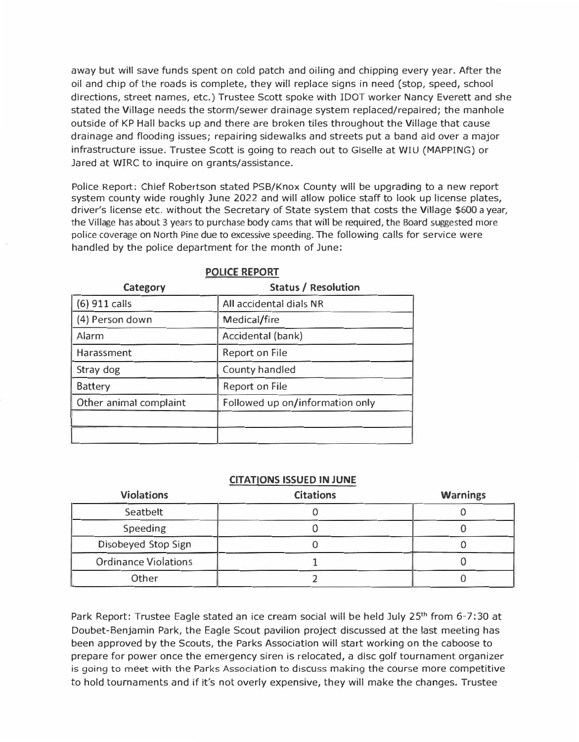away but will save funds spent on cold patch and oiling and chipping every year. After the oil and chip of the roads is complete, they will replace signs in need (stop, speed, school directions, street names, etc.) Trustee Scott spoke with !DOT worker Nancy Everett and she stated the Village needs the storm/sewer drainage system replaced/repaired; the manhole outside of KP Hall backs up and there are broken tiles throughout the Village that cause drainage and flooding issues; repairing sidewalks and streets put a band aid over a major infrastructure issue. Trustee Scott is going to reach out to Giselle at WIU (MAPPING) or Jared at WIRC to inquire on grants/assistance.

Police Report: Chief Robertson stated PSS/Knox County will be upgrading to a new report system county wide roughly June 2022 and will allow police staff to look up license plates, driver's license etc. without the Secretary of State system that costs the Village \$600 a year, the Village has about 3 years to purchase body cams that will be required, the Board suggested more police coverage on North Pine due to excessive speeding. The following calls for service were handled by the police department for the month of June:

| Category               | <b>Status / Resolution</b>      |  |
|------------------------|---------------------------------|--|
| (6) 911 calls          | All accidental dials NR         |  |
| (4) Person down        | Medical/fire                    |  |
| Alarm                  | Accidental (bank)               |  |
| Harassment             | Report on File                  |  |
| Stray dog              | County handled                  |  |
| <b>Battery</b>         | <b>Report on File</b>           |  |
| Other animal complaint | Followed up on/information only |  |
|                        |                                 |  |
|                        |                                 |  |
|                        |                                 |  |

## **POLICE REPORT**

## **CITATIONS ISSUED IN JUNE**

| <b>Violations</b>    | <b>Citations</b> | <b>Warnings</b> |
|----------------------|------------------|-----------------|
| Seatbelt             |                  |                 |
| Speeding             |                  |                 |
| Disobeyed Stop Sign  |                  |                 |
| Ordinance Violations |                  |                 |
| Other                |                  |                 |

Park Report: Trustee Eagle stated an ice cream social will be held July 25**th** from 6-7: 30 at Doubet-Benjamin Park, the Eagle Scout pavilion project discussed at the last meeting has been approved by the Scouts, the Parks Association will start working on the caboose to prepare for power once the emergency siren is relocated, a disc golf tournament organizer is going to meet with the Parks Association to discuss making the course more competitive to hold tournaments and if it's not overly expensive, they will make the changes. Trustee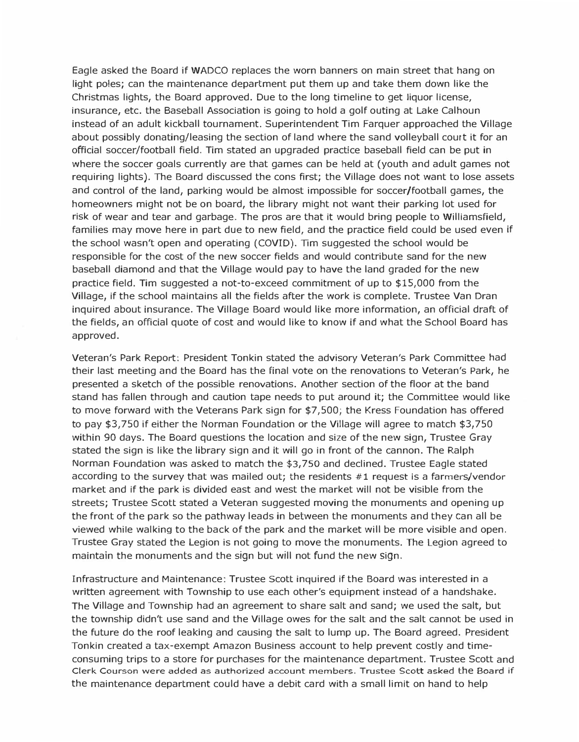**Eagle asked the Board if WADCO replaces the worn banners on main street that hang on light poles; can the maintenance department put them up and take them down like the Christmas lights, the Board approved. Due to the long timeline to get liquor license, insurance, etc. the Baseball Association is going to hold a golf outing at Lake Calhoun instead of an adult kickball tournament. Superintendent Tim Farquer approached the Village about possibly donating/leasing the section of land where the sand volleyball court it for an official soccer/football field. Tim stated an upgraded practice baseball field can be put in where the soccer goals currently are that games can be held at (youth and adult games not requiring lights). The Board discussed the cons first; the Village does not want to lose assets and control of the land, parking would be almost impossible for soccer/football games, the homeowners might not be on board, the library might not want their parking lot used for risk of wear and tear and garbage. The pros are that it would bring people to Williamsfield, families may move here in part due to new field, and the practice field could be used even if the school wasn't open and operating (COVID). Tim suggested the school would be responsible for the cost of the new soccer fields and would contribute sand for the new baseball diamond and that the Village would pay to have the land graded for the new practice field. Tim suggested a not-to-exceed commitment of up to** \$15,000 **from the Village, if the school maintains all the fields after the work is complete. Trustee Van Dran inquired about insurance. The Village Board would like more information, an official draft of the fields, an official quote of cost and would like to know if and what the School Board has approved.** 

**Veteran's Park Report: President Tonkin stated the advisory Veteran's Park Committee had their last meeting and the Board has the final** *vote* **on the renovations to Veteran's Park, he presented a sketch of the possible renovations. Another section of the floor at the band stand has fallen through and caution tape needs to put around it; the Committee would like to** *move* **forward with the Veterans Park sign for** \$7,500; **the Kress Foundation has offered to pay** \$3,750 **if either the Norman Foundation or the Village will agree to match** \$3,750 **within 90 days. The Board questions the location and size of the new sign, Trustee Gray stated the sign is like the library sign and it will go in front of the cannon. The Ralph Norman Foundation was asked to match the** \$3,750 **and declined. Trustee Eagle stated according to the survey that was mailed out; the residents #1 request is a farmers/vendor market and if the park is divided east and west the market will not be visible from the streets; Trustee Scott stated a Veteran suggested moving the monuments and opening up the front of the park so the pathway leads in between the monuments and they can all be viewed while walking to the back of the park and the market will be more visible and open. Trustee Gray stated the Legion is not going to move the monuments. The Legion agreed to maintain the monuments and the sign but will not fund the new sign.** 

**Infrastructure and Maintenance: Trustee Scott inquired if the Board was interested in a written agreement with Township to use each other's equipment instead of a handshake. The Village and Township had an agreement to share salt and sand; we used the salt, but the township didn't use sand and the Village owes for the salt and the salt cannot be used in the future do the roof leaking and causing the salt to lump up. The Board agreed. President Tonkin created a tax-exempt Amazon Business account to help prevent costly and timeconsuming trips to a store for purchases for the maintenance department. Trustee Scott and**  Clerk Courson were added as authorized account members. Trustee Scott asked **the** Board if **the maintenance department could have a debit card with a small limit on hand to help**